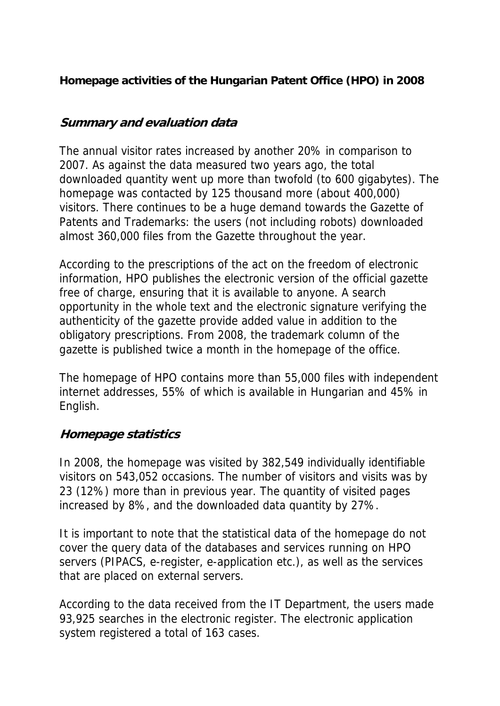# **Homepage activities of the Hungarian Patent Office (HPO) in 2008**

# **Summary and evaluation data**

The annual visitor rates increased by another 20% in comparison to 2007. As against the data measured two years ago, the total downloaded quantity went up more than twofold (to 600 gigabytes). The homepage was contacted by 125 thousand more (about 400,000) visitors. There continues to be a huge demand towards the Gazette of Patents and Trademarks: the users (not including robots) downloaded almost 360,000 files from the Gazette throughout the year.

According to the prescriptions of the act on the freedom of electronic information, HPO publishes the electronic version of the official gazette free of charge, ensuring that it is available to anyone. A search opportunity in the whole text and the electronic signature verifying the authenticity of the gazette provide added value in addition to the obligatory prescriptions. From 2008, the trademark column of the gazette is published twice a month in the homepage of the office.

The homepage of HPO contains more than 55,000 files with independent internet addresses, 55% of which is available in Hungarian and 45% in English.

#### **Homepage statistics**

In 2008, the homepage was visited by 382,549 individually identifiable visitors on 543,052 occasions. The number of visitors and visits was by 23 (12%) more than in previous year. The quantity of visited pages increased by 8%, and the downloaded data quantity by 27%.

It is important to note that the statistical data of the homepage do not cover the query data of the databases and services running on HPO servers (PIPACS, e-register, e-application etc.), as well as the services that are placed on external servers.

According to the data received from the IT Department, the users made 93,925 searches in the electronic register. The electronic application system registered a total of 163 cases.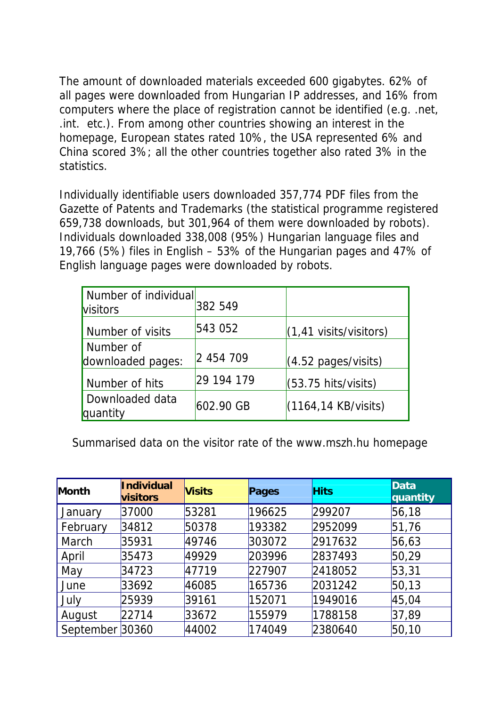The amount of downloaded materials exceeded 600 gigabytes. 62% of all pages were downloaded from Hungarian IP addresses, and 16% from computers where the place of registration cannot be identified (e.g. .net, .int. etc.). From among other countries showing an interest in the homepage, European states rated 10%, the USA represented 6% and China scored 3%; all the other countries together also rated 3% in the statistics.

Individually identifiable users downloaded 357,774 PDF files from the Gazette of Patents and Trademarks (the statistical programme registered 659,738 downloads, but 301,964 of them were downloaded by robots). Individuals downloaded 338,008 (95%) Hungarian language files and 19,766 (5%) files in English – 53% of the Hungarian pages and 47% of English language pages were downloaded by robots.

| Number of individual<br><b>Visitors</b> | 382 549     |                                   |
|-----------------------------------------|-------------|-----------------------------------|
| Number of visits                        | 543 052     | $(1, 41 \text{ visits/visitors})$ |
| Number of<br>downloaded pages:          | 2 454 709   | $(4.52 \text{ pages/visits})$     |
| Number of hits                          | 29 194 179  | $(53.75 \text{ hits/visits})$     |
| Downloaded data<br>quantity             | $602.90$ GB | $(1164, 14$ KB/visits)            |

Summarised data on the visitor rate of the www.mszh.hu homepage

| Month           | <b>Individual</b><br>visitors | <b>Visits</b> | Pages  | <b>Hits</b> | <b>Data</b><br>quantity |
|-----------------|-------------------------------|---------------|--------|-------------|-------------------------|
| January         | 37000                         | 53281         | 196625 | 299207      | 56,18                   |
| February        | 34812                         | 50378         | 193382 | 2952099     | 51,76                   |
| March           | 35931                         | 49746         | 303072 | 2917632     | 56,63                   |
| April           | 35473                         | 49929         | 203996 | 2837493     | 50,29                   |
| May             | 34723                         | 47719         | 227907 | 2418052     | 53,31                   |
| June            | 33692                         | 46085         | 165736 | 2031242     | 50, 13                  |
| July            | 25939                         | 39161         | 152071 | 1949016     | 45,04                   |
| August          | 22714                         | 33672         | 155979 | 1788158     | 37,89                   |
| September 30360 |                               | 44002         | 174049 | 2380640     | 50,10                   |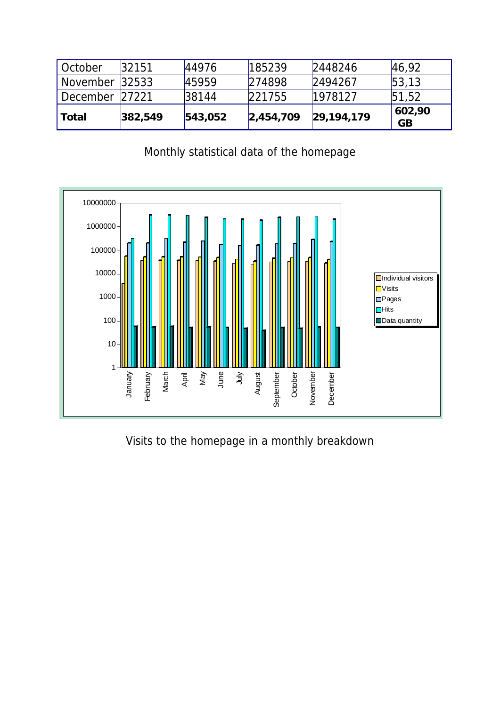| October        | 32151   | 44976   | 185239    | 2448246        | 46,92               |
|----------------|---------|---------|-----------|----------------|---------------------|
| November       | 32533   | 45959   | 274898    | 2494267        | 53, 13              |
| December 27221 |         | 38144   | 221755    | 1978127        | 51,52               |
| l Total        | 382,549 | 543,052 | 2,454,709 | [29, 194, 179] | 602,90<br><b>GB</b> |

# Monthly statistical data of the homepage



Visits to the homepage in a monthly breakdown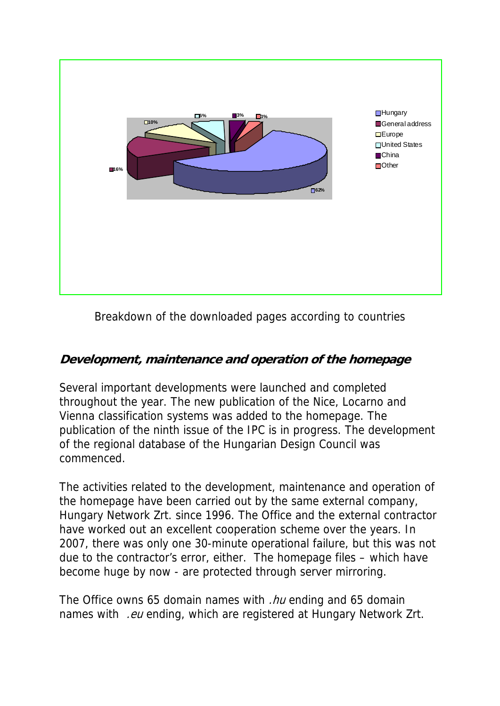

Breakdown of the downloaded pages according to countries

# **Development, maintenance and operation of the homepage**

Several important developments were launched and completed throughout the year. The new publication of the Nice, Locarno and Vienna classification systems was added to the homepage. The publication of the ninth issue of the IPC is in progress. The development of the regional database of the Hungarian Design Council was commenced.

The activities related to the development, maintenance and operation of the homepage have been carried out by the same external company, Hungary Network Zrt. since 1996. The Office and the external contractor have worked out an excellent cooperation scheme over the years. In 2007, there was only one 30-minute operational failure, but this was not due to the contractor's error, either. The homepage files – which have become huge by now - are protected through server mirroring.

The Office owns 65 domain names with .*hu* ending and 65 domain names with .eu ending, which are registered at Hungary Network Zrt.